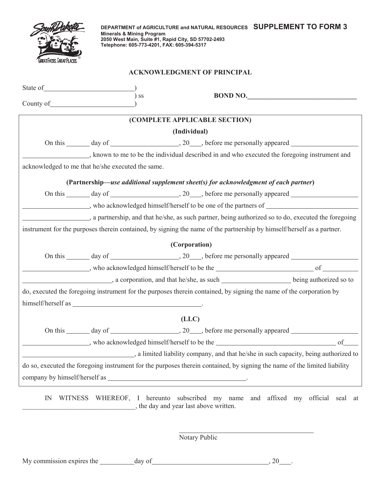| EAT FACES. GREAT PLACES. |
|--------------------------|

**DEPARTMENT of AGRICULTURE and NATURAL RESOURCES SUPPLEMENT TO FORM 3 Minerals & Mining Program 2050 West Main, Suite #1, Rapid City, SD 57702-2493 Telephone: 605-773-4201, FAX: 605-394-5317**

## **ACKNOWLEDGMENT OF PRINCIPAL**

| County of <u>County of County of County of</u>                                                                      |  | ) ss         | <b>BOND NO.</b>                                                                                                           |  |
|---------------------------------------------------------------------------------------------------------------------|--|--------------|---------------------------------------------------------------------------------------------------------------------------|--|
| (COMPLETE APPLICABLE SECTION)                                                                                       |  |              |                                                                                                                           |  |
|                                                                                                                     |  | (Individual) |                                                                                                                           |  |
|                                                                                                                     |  |              |                                                                                                                           |  |
|                                                                                                                     |  |              | , known to me to be the individual described in and who executed the foregoing instrument and                             |  |
| acknowledged to me that he/she executed the same.                                                                   |  |              |                                                                                                                           |  |
|                                                                                                                     |  |              | (Partnership—use additional supplement sheet(s) for acknowledgment of each partner)                                       |  |
|                                                                                                                     |  |              |                                                                                                                           |  |
|                                                                                                                     |  |              |                                                                                                                           |  |
|                                                                                                                     |  |              | , a partnership, and that he/she, as such partner, being authorized so to do, executed the foregoing                      |  |
|                                                                                                                     |  |              | instrument for the purposes therein contained, by signing the name of the partnership by himself/herself as a partner.    |  |
| (Corporation)                                                                                                       |  |              |                                                                                                                           |  |
|                                                                                                                     |  |              |                                                                                                                           |  |
|                                                                                                                     |  |              |                                                                                                                           |  |
|                                                                                                                     |  |              |                                                                                                                           |  |
| do, executed the foregoing instrument for the purposes therein contained, by signing the name of the corporation by |  |              |                                                                                                                           |  |
|                                                                                                                     |  |              |                                                                                                                           |  |
|                                                                                                                     |  | (LLC)        |                                                                                                                           |  |
|                                                                                                                     |  |              |                                                                                                                           |  |
|                                                                                                                     |  |              |                                                                                                                           |  |
|                                                                                                                     |  |              | a limited liability company, and that he/she in such capacity, being authorized to                                        |  |
|                                                                                                                     |  |              | do so, executed the foregoing instrument for the purposes therein contained, by signing the name of the limited liability |  |
|                                                                                                                     |  |              |                                                                                                                           |  |
|                                                                                                                     |  |              |                                                                                                                           |  |

IN WITNESS WHEREOF, I hereunto subscribed my name and affixed my official seal at \_\_\_\_\_\_\_\_\_\_\_\_\_\_\_\_\_\_\_\_\_\_\_\_\_\_\_\_\_\_\_\_\_, the day and year last above written.

Notary Public